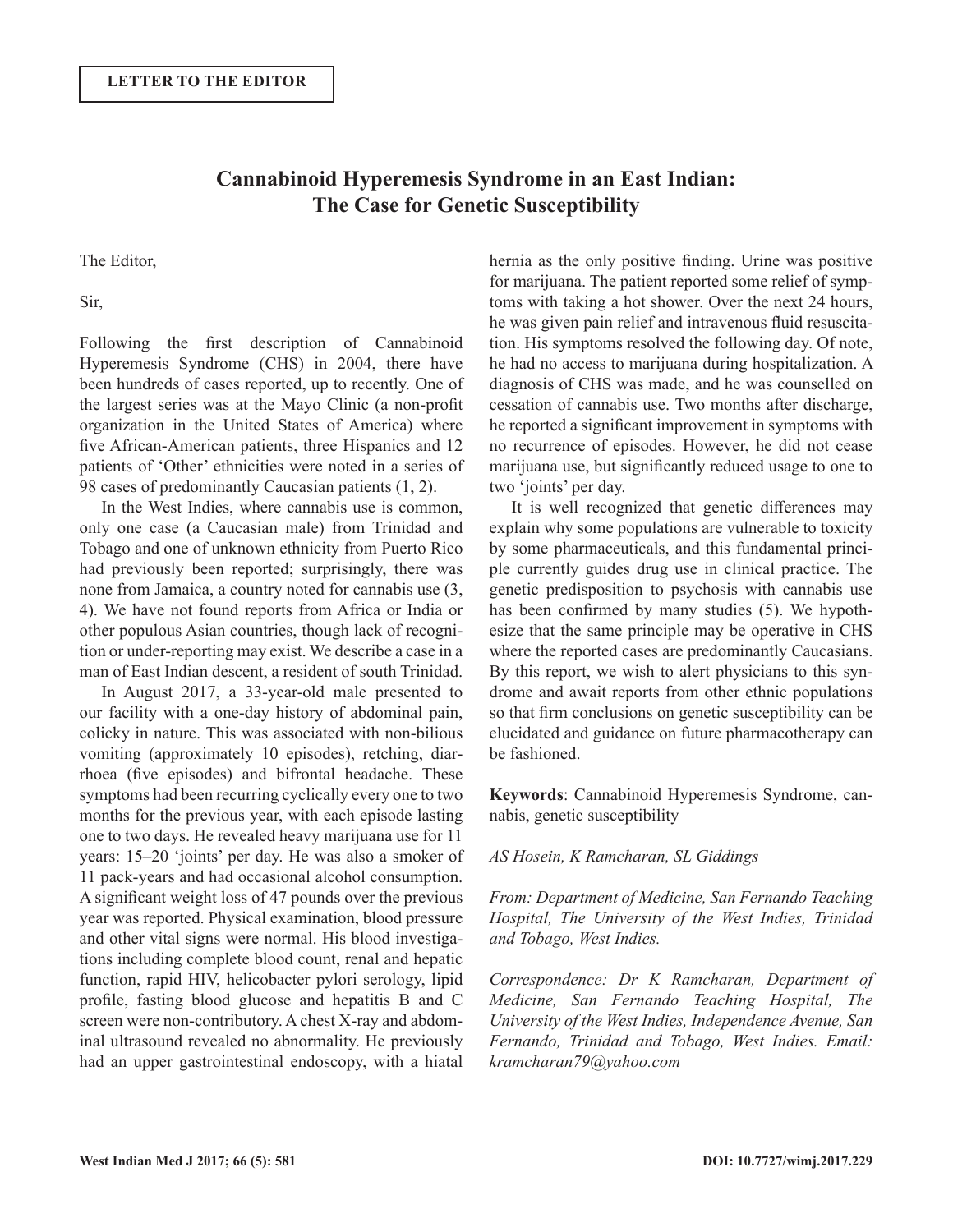## **Cannabinoid Hyperemesis Syndrome in an East Indian: The Case for Genetic Susceptibility**

The Editor,

Sir,

Following the first description of Cannabinoid Hyperemesis Syndrome (CHS) in 2004, there have been hundreds of cases reported, up to recently. One of the largest series was at the Mayo Clinic (a non-profit organization in the United States of America) where five African-American patients, three Hispanics and 12 patients of 'Other' ethnicities were noted in a series of 98 cases of predominantly Caucasian patients (1, 2).

In the West Indies, where cannabis use is common, only one case (a Caucasian male) from Trinidad and Tobago and one of unknown ethnicity from Puerto Rico had previously been reported; surprisingly, there was none from Jamaica, a country noted for cannabis use (3, 4). We have not found reports from Africa or India or other populous Asian countries, though lack of recognition or under-reporting may exist. We describe a case in a man of East Indian descent, a resident of south Trinidad.

In August 2017, a 33-year-old male presented to our facility with a one-day history of abdominal pain, colicky in nature. This was associated with non-bilious vomiting (approximately 10 episodes), retching, diarrhoea (five episodes) and bifrontal headache. These symptoms had been recurring cyclically every one to two months for the previous year, with each episode lasting one to two days. He revealed heavy marijuana use for 11 years: 15–20 'joints' per day. He was also a smoker of 11 pack-years and had occasional alcohol consumption. A significant weight loss of 47 pounds over the previous year was reported. Physical examination, blood pressure and other vital signs were normal. His blood investigations including complete blood count, renal and hepatic function, rapid HIV, helicobacter pylori serology, lipid profile, fasting blood glucose and hepatitis B and C screen were non-contributory. A chest X-ray and abdominal ultrasound revealed no abnormality. He previously had an upper gastrointestinal endoscopy, with a hiatal

hernia as the only positive finding. Urine was positive for marijuana. The patient reported some relief of symptoms with taking a hot shower. Over the next 24 hours, he was given pain relief and intravenous fluid resuscitation. His symptoms resolved the following day. Of note, he had no access to marijuana during hospitalization. A diagnosis of CHS was made, and he was counselled on cessation of cannabis use. Two months after discharge, he reported a significant improvement in symptoms with no recurrence of episodes. However, he did not cease marijuana use, but significantly reduced usage to one to two 'joints' per day.

It is well recognized that genetic differences may explain why some populations are vulnerable to toxicity by some pharmaceuticals, and this fundamental principle currently guides drug use in clinical practice. The genetic predisposition to psychosis with cannabis use has been confirmed by many studies (5). We hypothesize that the same principle may be operative in CHS where the reported cases are predominantly Caucasians. By this report, we wish to alert physicians to this syndrome and await reports from other ethnic populations so that firm conclusions on genetic susceptibility can be elucidated and guidance on future pharmacotherapy can be fashioned.

**Keywords**: Cannabinoid Hyperemesis Syndrome, cannabis, genetic susceptibility

## *AS Hosein, K Ramcharan, SL Giddings*

*From: Department of Medicine, San Fernando Teaching Hospital, The University of the West Indies, Trinidad and Tobago, West Indies.*

*Correspondence: Dr K Ramcharan, Department of Medicine, San Fernando Teaching Hospital, The University of the West Indies, Independence Avenue, San Fernando, Trinidad and Tobago, West Indies. Email: kramcharan79@yahoo.com*